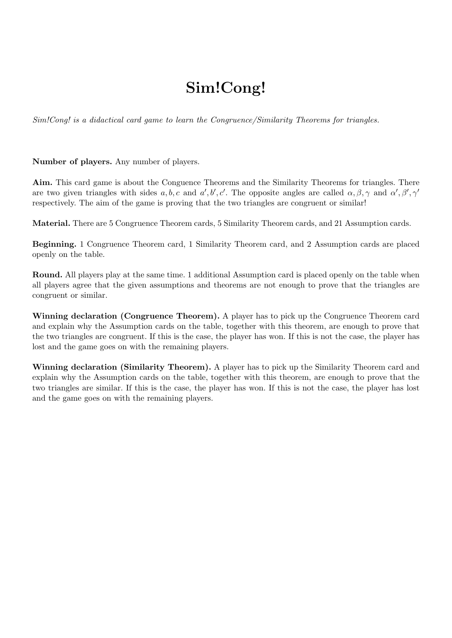### Sim!Cong!

Sim!Cong! is a didactical card game to learn the Congruence/Similarity Theorems for triangles.

Number of players. Any number of players.

Aim. This card game is about the Conguence Theorems and the Similarity Theorems for triangles. There are two given triangles with sides a, b, c and a', b', c'. The opposite angles are called  $\alpha, \beta, \gamma$  and  $\alpha', \beta', \gamma'$ respectively. The aim of the game is proving that the two triangles are congruent or similar!

Material. There are 5 Congruence Theorem cards, 5 Similarity Theorem cards, and 21 Assumption cards.

Beginning. 1 Congruence Theorem card, 1 Similarity Theorem card, and 2 Assumption cards are placed openly on the table.

Round. All players play at the same time. 1 additional Assumption card is placed openly on the table when all players agree that the given assumptions and theorems are not enough to prove that the triangles are congruent or similar.

Winning declaration (Congruence Theorem). A player has to pick up the Congruence Theorem card and explain why the Assumption cards on the table, together with this theorem, are enough to prove that the two triangles are congruent. If this is the case, the player has won. If this is not the case, the player has lost and the game goes on with the remaining players.

Winning declaration (Similarity Theorem). A player has to pick up the Similarity Theorem card and explain why the Assumption cards on the table, together with this theorem, are enough to prove that the two triangles are similar. If this is the case, the player has won. If this is not the case, the player has lost and the game goes on with the remaining players.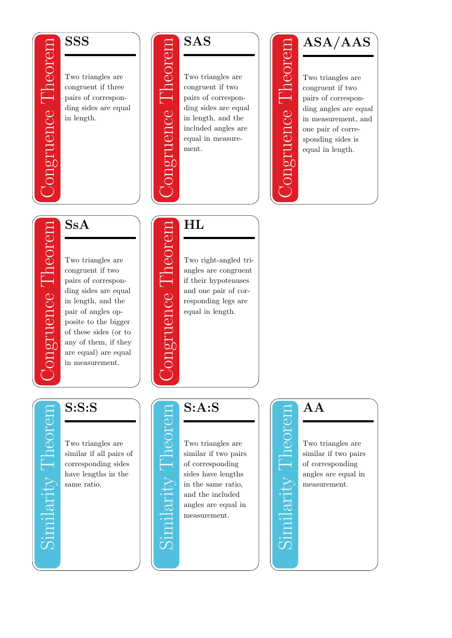#### **SSS**

ruence l'heorem

gruence Theorem

Congruence Theorem Two triangles are congruent if three pairs of corresponding sides are equal in length.



L'heoren

uence

heorem

lence

Congruence Theorem Two triangles are congruent if two pairs of corresponding sides are equal in length, and the included angles are equal in measurement.

ASA/AAS

neoren

eruence

Congruence Theorem Two triangles are congruent if two pairs of corresponding angles are equal in measurement, and one pair of corresponding sides is equal in length.

## SsA

Congruence Theorem Two triangles are congruent if two pairs of corresponding sides are equal in length, and the pair of angles opposite to the bigger of these sides (or to any of them, if they are equal) are equal in measurement.

# $\rm HL$

Congruence Theorem Two right-angled triangles are congruent if their hypotenuses and one pair of corresponding legs are equal in length.

#### S:S:S

Similarity Theorem Two triangles are similar if all pairs of corresponding sides have lengths in the same ratio.

#### S:A:S

Similarity Theorem Two triangles are similar if two pairs of corresponding sides have lengths in the same ratio, and the included angles are equal in measurement.

# Similarity Theorem

# AA

Two triangles are similar if two pairs of corresponding angles are equal in measurement.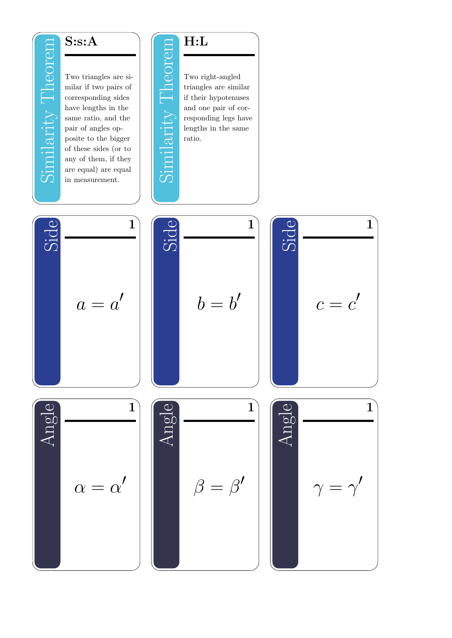#### S:s:A

Similarity Theorer

Similarity Theorem Two triangles are similar if two pairs of corresponding sides have lengths in the same ratio, and the pair of angles opposite to the bigger of these sides (or to any of them, if they are equal) are equal in measurement.









Side 1  $c = c'$ 





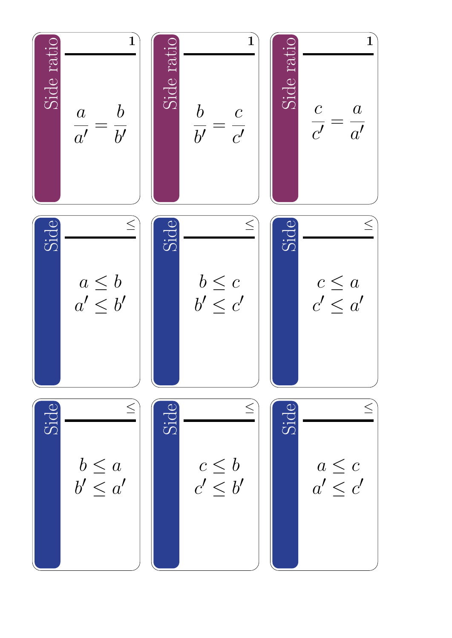